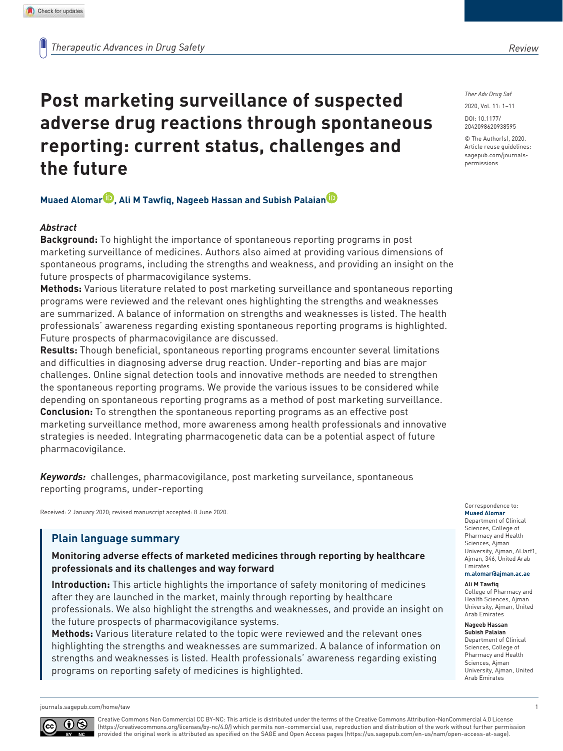# **Post marketing surveillance of suspected adverse drug reactions through spontaneous reporting: current status, challenges and the future**

### **Muaed Alomar , Ali M Tawfiq, Nageeb Hassan and Subish Palaian**

### *Abstract*

**Background:** To highlight the importance of spontaneous reporting programs in post marketing surveillance of medicines. Authors also aimed at providing various dimensions of spontaneous programs, including the strengths and weakness, and providing an insight on the future prospects of pharmacovigilance systems.

**Methods:** Various literature related to post marketing surveillance and spontaneous reporting programs were reviewed and the relevant ones highlighting the strengths and weaknesses are summarized. A balance of information on strengths and weaknesses is listed. The health professionals' awareness regarding existing spontaneous reporting programs is highlighted. Future prospects of pharmacovigilance are discussed.

**Results:** Though beneficial, spontaneous reporting programs encounter several limitations and difficulties in diagnosing adverse drug reaction. Under-reporting and bias are major challenges. Online signal detection tools and innovative methods are needed to strengthen the spontaneous reporting programs. We provide the various issues to be considered while depending on spontaneous reporting programs as a method of post marketing surveillance. **Conclusion:** To strengthen the spontaneous reporting programs as an effective post marketing surveillance method, more awareness among health professionals and innovative strategies is needed. Integrating pharmacogenetic data can be a potential aspect of future pharmacovigilance.

*Keywords:* challenges, pharmacovigilance, post marketing surveilance, spontaneous reporting programs, under-reporting

Received: 2 January 2020; revised manuscript accepted: 8 June 2020.

## **Plain language summary**

**Monitoring adverse effects of marketed medicines through reporting by healthcare professionals and its challenges and way forward**

**Introduction:** This article highlights the importance of safety monitoring of medicines after they are launched in the market, mainly through reporting by healthcare professionals. We also highlight the strengths and weaknesses, and provide an insight on the future prospects of pharmacovigilance systems.

**Methods:** Various literature related to the topic were reviewed and the relevant ones highlighting the strengths and weaknesses are summarized. A balance of information on strengths and weaknesses is listed. Health professionals' awareness regarding existing programs on reporting safety of medicines is highlighted.

*Ther Adv Drug Saf*

DOI: 10.1177/ 2042098620938595 2020, Vol. 11: 1–11

© The Author(s), 2020. Article reuse guidelines: sagepub.com/journalspermissions

### Correspondence to:

**Muaed Alomar** Department of Clinical Sciences, College of Pharmacy and Health Sciences, Ajman University, Ajman, AlJarf1, Ajman, 346, United Arab Emirates **m.alomar@ajman.ac.ae**

#### **Ali M Tawfiq**

College of Pharmacy and Health Sciences, Ajman University, Ajman, United Arab Emirates

#### **Nageeb Hassan Subish Palaian**

Department of Clinical Sciences, College of Pharmacy and Health Sciences, Ajman University, Ajman, United Arab Emirates



Creative Commons Non Commercial CC BY-NC: This article is distributed under the terms of the Creative Commons Attribution-NonCommercial 4.0 License (https://creativecommons.org/licenses/by-nc/4.0/) which permits non-commercial use, reproduction and distribution of the work without further permission provided the original work is attributed as specified on the SAGE and Open Access pages (https://us.sagepub.com/en-us/nam/open-access-at-sage).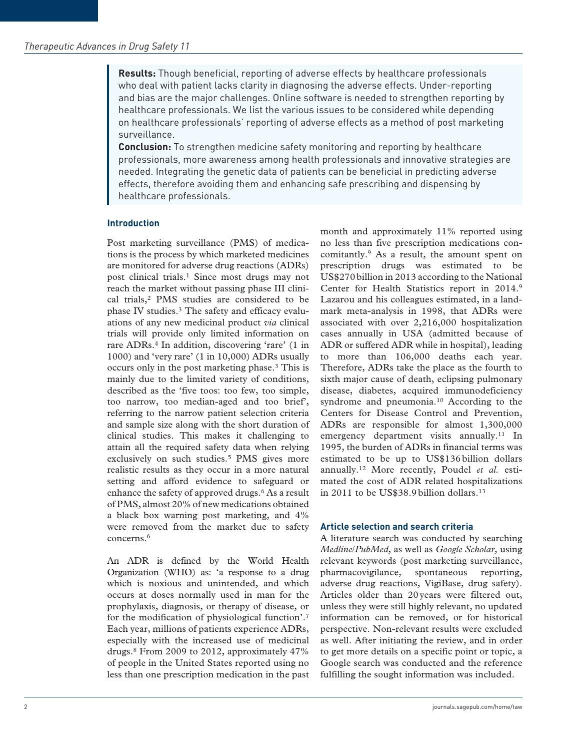**Results:** Though beneficial, reporting of adverse effects by healthcare professionals who deal with patient lacks clarity in diagnosing the adverse effects. Under-reporting and bias are the major challenges. Online software is needed to strengthen reporting by healthcare professionals. We list the various issues to be considered while depending on healthcare professionals' reporting of adverse effects as a method of post marketing surveillance.

**Conclusion:** To strengthen medicine safety monitoring and reporting by healthcare professionals, more awareness among health professionals and innovative strategies are needed. Integrating the genetic data of patients can be beneficial in predicting adverse effects, therefore avoiding them and enhancing safe prescribing and dispensing by healthcare professionals.

### **Introduction**

Post marketing surveillance (PMS) of medications is the process by which marketed medicines are monitored for adverse drug reactions (ADRs) post clinical trials.<sup>1</sup> Since most drugs may not reach the market without passing phase III clinical trials,<sup>2</sup> PMS studies are considered to be phase IV studies.<sup>3</sup> The safety and efficacy evaluations of any new medicinal product *via* clinical trials will provide only limited information on rare ADRs.<sup>4</sup> In addition, discovering 'rare' (1 in 1000) and 'very rare' (1 in 10,000) ADRs usually occurs only in the post marketing phase.<sup>3</sup> This is mainly due to the limited variety of conditions, described as the 'five toos: too few, too simple, too narrow, too median-aged and too brief', referring to the narrow patient selection criteria and sample size along with the short duration of clinical studies. This makes it challenging to attain all the required safety data when relying exclusively on such studies.<sup>5</sup> PMS gives more realistic results as they occur in a more natural setting and afford evidence to safeguard or enhance the safety of approved drugs.<sup>6</sup> As a result of PMS, almost 20% of new medications obtained a black box warning post marketing, and 4% were removed from the market due to safety concerns.<sup>6</sup>

An ADR is defined by the World Health Organization (WHO) as: 'a response to a drug which is noxious and unintended, and which occurs at doses normally used in man for the prophylaxis, diagnosis, or therapy of disease, or for the modification of physiological function'.<sup>7</sup> Each year, millions of patients experience ADRs, especially with the increased use of medicinal drugs.<sup>8</sup> From 2009 to 2012, approximately 47% of people in the United States reported using no less than one prescription medication in the past

month and approximately 11% reported using no less than five prescription medications concomitantly.<sup>9</sup> As a result, the amount spent on prescription drugs was estimated to be US\$270 billion in 2013 according to the National Center for Health Statistics report in 2014.<sup>9</sup> Lazarou and his colleagues estimated, in a landmark meta-analysis in 1998, that ADRs were associated with over 2,216,000 hospitalization cases annually in USA (admitted because of ADR or suffered ADR while in hospital), leading to more than 106,000 deaths each year. Therefore, ADRs take the place as the fourth to sixth major cause of death, eclipsing pulmonary disease, diabetes, acquired immunodeficiency syndrome and pneumonia.<sup>10</sup> According to the Centers for Disease Control and Prevention, ADRs are responsible for almost 1,300,000 emergency department visits annually.<sup>11</sup> In 1995, the burden of ADRs in financial terms was estimated to be up to US\$136 billion dollars annually.12 More recently, Poudel *et al.* estimated the cost of ADR related hospitalizations in 2011 to be US\$38.9 billion dollars.<sup>13</sup>

### **Article selection and search criteria**

A literature search was conducted by searching *Medline*/*PubMed*, as well as *Google Scholar*, using relevant keywords (post marketing surveillance, pharmacovigilance, spontaneous reporting, adverse drug reactions, VigiBase, drug safety). Articles older than 20 years were filtered out, unless they were still highly relevant, no updated information can be removed, or for historical perspective. Non-relevant results were excluded as well. After initiating the review, and in order to get more details on a specific point or topic, a Google search was conducted and the reference fulfilling the sought information was included.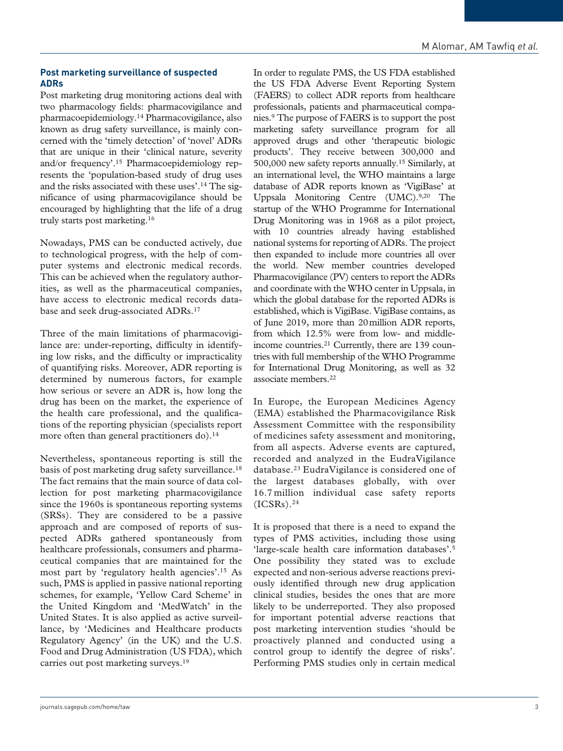### **Post marketing surveillance of suspected ADRs**

Post marketing drug monitoring actions deal with two pharmacology fields: pharmacovigilance and pharmacoepidemiology.<sup>14</sup> Pharmacovigilance, also known as drug safety surveillance, is mainly concerned with the 'timely detection' of 'novel' ADRs that are unique in their 'clinical nature, severity and/or frequency'.15 Pharmacoepidemiology represents the 'population-based study of drug uses and the risks associated with these uses'.14 The significance of using pharmacovigilance should be encouraged by highlighting that the life of a drug truly starts post marketing.<sup>16</sup>

Nowadays, PMS can be conducted actively, due to technological progress, with the help of computer systems and electronic medical records. This can be achieved when the regulatory authorities, as well as the pharmaceutical companies, have access to electronic medical records database and seek drug-associated ADRs.<sup>17</sup>

Three of the main limitations of pharmacovigilance are: under-reporting, difficulty in identifying low risks, and the difficulty or impracticality of quantifying risks. Moreover, ADR reporting is determined by numerous factors, for example how serious or severe an ADR is, how long the drug has been on the market, the experience of the health care professional, and the qualifications of the reporting physician (specialists report more often than general practitioners do).<sup>14</sup>

Nevertheless, spontaneous reporting is still the basis of post marketing drug safety surveillance.<sup>18</sup> The fact remains that the main source of data collection for post marketing pharmacovigilance since the 1960s is spontaneous reporting systems (SRSs). They are considered to be a passive approach and are composed of reports of suspected ADRs gathered spontaneously from healthcare professionals, consumers and pharmaceutical companies that are maintained for the most part by 'regulatory health agencies'.<sup>15</sup> As such, PMS is applied in passive national reporting schemes, for example, 'Yellow Card Scheme' in the United Kingdom and 'MedWatch' in the United States. It is also applied as active surveillance, by 'Medicines and Healthcare products Regulatory Agency' (in the UK) and the U.S. Food and Drug Administration (US FDA), which carries out post marketing surveys.<sup>19</sup>

In order to regulate PMS, the US FDA established the US FDA Adverse Event Reporting System (FAERS) to collect ADR reports from healthcare professionals, patients and pharmaceutical companies.<sup>9</sup> The purpose of FAERS is to support the post marketing safety surveillance program for all approved drugs and other 'therapeutic biologic products'. They receive between 300,000 and 500,000 new safety reports annually.<sup>15</sup> Similarly, at an international level, the WHO maintains a large database of ADR reports known as 'VigiBase' at Uppsala Monitoring Centre (UMC).<sup>9,20</sup> The startup of the WHO Programme for International Drug Monitoring was in 1968 as a pilot project, with 10 countries already having established national systems for reporting of ADRs. The project then expanded to include more countries all over the world. New member countries developed Pharmacovigilance (PV) centers to report the ADRs and coordinate with the WHO center in Uppsala, in which the global database for the reported ADRs is established, which is VigiBase. VigiBase contains, as of June 2019, more than 20 million ADR reports, from which 12.5% were from low- and middleincome countries.<sup>21</sup> Currently, there are 139 countries with full membership of the WHO Programme for International Drug Monitoring, as well as 32 associate members.<sup>22</sup>

In Europe, the European Medicines Agency (EMA) established the Pharmacovigilance Risk Assessment Committee with the responsibility of medicines safety assessment and monitoring, from all aspects. Adverse events are captured, recorded and analyzed in the EudraVigilance database.<sup>23</sup> EudraVigilance is considered one of the largest databases globally, with over 16.7 million individual case safety reports  $(ICSRs).<sup>24</sup>$ 

It is proposed that there is a need to expand the types of PMS activities, including those using 'large-scale health care information databases'.<sup>5</sup> One possibility they stated was to exclude expected and non-serious adverse reactions previously identified through new drug application clinical studies, besides the ones that are more likely to be underreported. They also proposed for important potential adverse reactions that post marketing intervention studies 'should be proactively planned and conducted using a control group to identify the degree of risks'. Performing PMS studies only in certain medical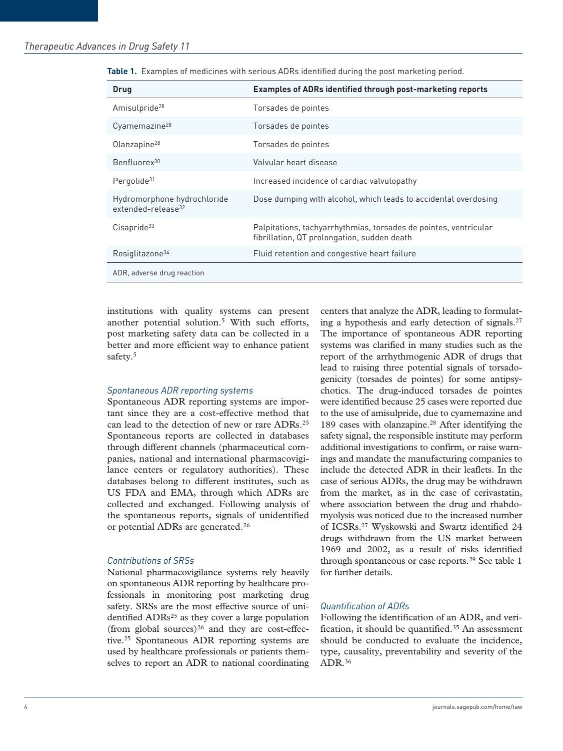| <b>Drug</b>                                                   | <b>Examples of ADRs identified through post-marketing reports</b>                                               |
|---------------------------------------------------------------|-----------------------------------------------------------------------------------------------------------------|
| Amisulpride <sup>28</sup>                                     | Torsades de pointes                                                                                             |
| Cyamemazine <sup>28</sup>                                     | Torsades de pointes                                                                                             |
| Olanzapine <sup>28</sup>                                      | Torsades de pointes                                                                                             |
| Benfluorex <sup>30</sup>                                      | Valvular heart disease                                                                                          |
| Pergolide <sup>31</sup>                                       | Increased incidence of cardiac valvulopathy                                                                     |
| Hydromorphone hydrochloride<br>extended-release <sup>32</sup> | Dose dumping with alcohol, which leads to accidental overdosing                                                 |
| $C$ isapride $33$                                             | Palpitations, tachyarrhythmias, torsades de pointes, ventricular<br>fibrillation, QT prolongation, sudden death |
| Rosiglitazone <sup>34</sup>                                   | Fluid retention and congestive heart failure                                                                    |
| ADR, adverse drug reaction                                    |                                                                                                                 |

**Table 1.** Examples of medicines with serious ADRs identified during the post marketing period.

institutions with quality systems can present another potential solution.<sup>5</sup> With such efforts, post marketing safety data can be collected in a better and more efficient way to enhance patient safety.<sup>5</sup>

### *Spontaneous ADR reporting systems*

Spontaneous ADR reporting systems are important since they are a cost-effective method that can lead to the detection of new or rare ADRs.<sup>25</sup> Spontaneous reports are collected in databases through different channels (pharmaceutical companies, national and international pharmacovigilance centers or regulatory authorities). These databases belong to different institutes, such as US FDA and EMA, through which ADRs are collected and exchanged. Following analysis of the spontaneous reports, signals of unidentified or potential ADRs are generated.<sup>26</sup>

#### *Contributions of SRSs*

National pharmacovigilance systems rely heavily on spontaneous ADR reporting by healthcare professionals in monitoring post marketing drug safety. SRSs are the most effective source of unidentified ADRs<sup>25</sup> as they cover a large population (from global sources) $26$  and they are cost-effective.<sup>25</sup> Spontaneous ADR reporting systems are used by healthcare professionals or patients themselves to report an ADR to national coordinating centers that analyze the ADR, leading to formulating a hypothesis and early detection of signals. $27$ The importance of spontaneous ADR reporting systems was clarified in many studies such as the report of the arrhythmogenic ADR of drugs that lead to raising three potential signals of torsadogenicity (torsades de pointes) for some antipsychotics. The drug-induced torsades de pointes were identified because 25 cases were reported due to the use of amisulpride, due to cyamemazine and 189 cases with olanzapine.<sup>28</sup> After identifying the safety signal, the responsible institute may perform additional investigations to confirm, or raise warnings and mandate the manufacturing companies to include the detected ADR in their leaflets. In the case of serious ADRs, the drug may be withdrawn from the market, as in the case of cerivastatin, where association between the drug and rhabdomyolysis was noticed due to the increased number of ICSRs.<sup>27</sup> Wyskowski and Swartz identified 24 drugs withdrawn from the US market between 1969 and 2002, as a result of risks identified through spontaneous or case reports.<sup>29</sup> See table 1 for further details.

### *Quantification of ADRs*

Following the identification of an ADR, and verification, it should be quantified.<sup>35</sup> An assessment should be conducted to evaluate the incidence, type, causality, preventability and severity of the ADR.<sup>36</sup>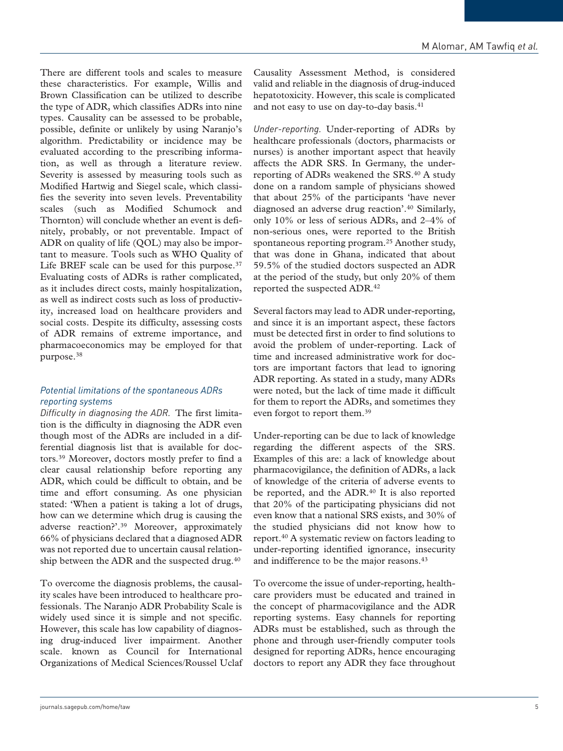There are different tools and scales to measure these characteristics. For example, Willis and Brown Classification can be utilized to describe the type of ADR, which classifies ADRs into nine types. Causality can be assessed to be probable, possible, definite or unlikely by using Naranjo's algorithm. Predictability or incidence may be evaluated according to the prescribing information, as well as through a literature review. Severity is assessed by measuring tools such as Modified Hartwig and Siegel scale, which classifies the severity into seven levels. Preventability scales (such as Modified Schumock and Thornton) will conclude whether an event is definitely, probably, or not preventable. Impact of ADR on quality of life (QOL) may also be important to measure. Tools such as WHO Quality of Life BREF scale can be used for this purpose. $37$ Evaluating costs of ADRs is rather complicated, as it includes direct costs, mainly hospitalization, as well as indirect costs such as loss of productivity, increased load on healthcare providers and social costs. Despite its difficulty, assessing costs of ADR remains of extreme importance, and pharmacoeconomics may be employed for that purpose.<sup>38</sup>

### *Potential limitations of the spontaneous ADRs reporting systems*

*Difficulty in diagnosing the ADR.* The first limitation is the difficulty in diagnosing the ADR even though most of the ADRs are included in a differential diagnosis list that is available for doctors.<sup>39</sup> Moreover, doctors mostly prefer to find a clear causal relationship before reporting any ADR, which could be difficult to obtain, and be time and effort consuming. As one physician stated: 'When a patient is taking a lot of drugs, how can we determine which drug is causing the adverse reaction?'.<sup>39</sup> Moreover, approximately 66% of physicians declared that a diagnosed ADR was not reported due to uncertain causal relationship between the ADR and the suspected drug.<sup>40</sup>

To overcome the diagnosis problems, the causality scales have been introduced to healthcare professionals. The Naranjo ADR Probability Scale is widely used since it is simple and not specific. However, this scale has low capability of diagnosing drug-induced liver impairment. Another scale. known as Council for International Organizations of Medical Sciences/Roussel Uclaf Causality Assessment Method, is considered valid and reliable in the diagnosis of drug-induced hepatotoxicity. However, this scale is complicated and not easy to use on day-to-day basis.<sup>41</sup>

*Under-reporting.* Under-reporting of ADRs by healthcare professionals (doctors, pharmacists or nurses) is another important aspect that heavily affects the ADR SRS. In Germany, the underreporting of ADRs weakened the SRS.<sup>40</sup> A study done on a random sample of physicians showed that about 25% of the participants 'have never diagnosed an adverse drug reaction'.<sup>40</sup> Similarly, only 10% or less of serious ADRs, and 2–4% of non-serious ones, were reported to the British spontaneous reporting program.<sup>25</sup> Another study, that was done in Ghana, indicated that about 59.5% of the studied doctors suspected an ADR at the period of the study, but only 20% of them reported the suspected ADR.<sup>42</sup>

Several factors may lead to ADR under-reporting, and since it is an important aspect, these factors must be detected first in order to find solutions to avoid the problem of under-reporting. Lack of time and increased administrative work for doctors are important factors that lead to ignoring ADR reporting. As stated in a study, many ADRs were noted, but the lack of time made it difficult for them to report the ADRs, and sometimes they even forgot to report them.<sup>39</sup>

Under-reporting can be due to lack of knowledge regarding the different aspects of the SRS. Examples of this are: a lack of knowledge about pharmacovigilance, the definition of ADRs, a lack of knowledge of the criteria of adverse events to be reported, and the ADR.<sup>40</sup> It is also reported that 20% of the participating physicians did not even know that a national SRS exists, and 30% of the studied physicians did not know how to report.<sup>40</sup> A systematic review on factors leading to under-reporting identified ignorance, insecurity and indifference to be the major reasons.<sup>43</sup>

To overcome the issue of under-reporting, healthcare providers must be educated and trained in the concept of pharmacovigilance and the ADR reporting systems. Easy channels for reporting ADRs must be established, such as through the phone and through user-friendly computer tools designed for reporting ADRs, hence encouraging doctors to report any ADR they face throughout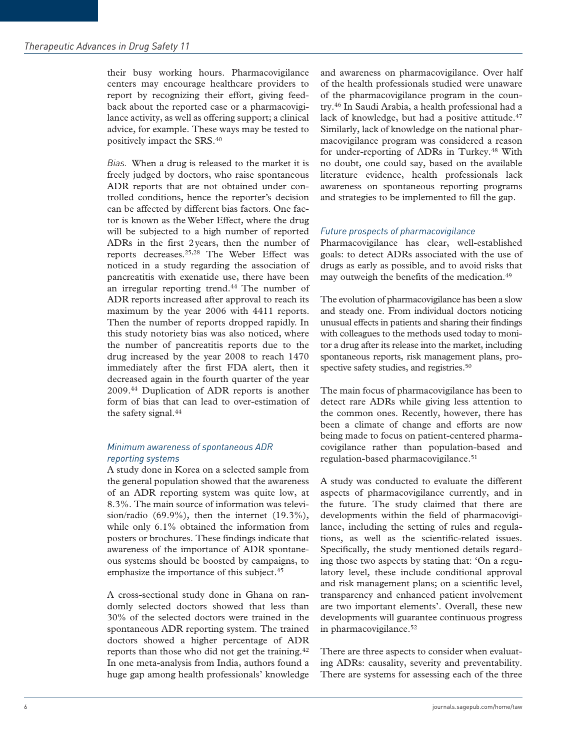their busy working hours. Pharmacovigilance centers may encourage healthcare providers to report by recognizing their effort, giving feedback about the reported case or a pharmacovigilance activity, as well as offering support; a clinical advice, for example. These ways may be tested to positively impact the SRS.<sup>40</sup>

*Bias.* When a drug is released to the market it is freely judged by doctors, who raise spontaneous ADR reports that are not obtained under controlled conditions, hence the reporter's decision can be affected by different bias factors. One factor is known as the Weber Effect, where the drug will be subjected to a high number of reported ADRs in the first 2 years, then the number of reports decreases.25,28 The Weber Effect was noticed in a study regarding the association of pancreatitis with exenatide use, there have been an irregular reporting trend.<sup>44</sup> The number of ADR reports increased after approval to reach its maximum by the year 2006 with 4411 reports. Then the number of reports dropped rapidly. In this study notoriety bias was also noticed, where the number of pancreatitis reports due to the drug increased by the year 2008 to reach 1470 immediately after the first FDA alert, then it decreased again in the fourth quarter of the year 2009.<sup>44</sup> Duplication of ADR reports is another form of bias that can lead to over-estimation of the safety signal.<sup>44</sup>

### *Minimum awareness of spontaneous ADR reporting systems*

A study done in Korea on a selected sample from the general population showed that the awareness of an ADR reporting system was quite low, at 8.3%. The main source of information was television/radio (69.9%), then the internet (19.3%), while only 6.1% obtained the information from posters or brochures. These findings indicate that awareness of the importance of ADR spontaneous systems should be boosted by campaigns, to emphasize the importance of this subject.<sup>45</sup>

A cross-sectional study done in Ghana on randomly selected doctors showed that less than 30% of the selected doctors were trained in the spontaneous ADR reporting system. The trained doctors showed a higher percentage of ADR reports than those who did not get the training.<sup>42</sup> In one meta-analysis from India, authors found a huge gap among health professionals' knowledge and awareness on pharmacovigilance. Over half of the health professionals studied were unaware of the pharmacovigilance program in the country.<sup>46</sup> In Saudi Arabia, a health professional had a lack of knowledge, but had a positive attitude.<sup>47</sup> Similarly, lack of knowledge on the national pharmacovigilance program was considered a reason for under-reporting of ADRs in Turkey.<sup>48</sup> With no doubt, one could say, based on the available literature evidence, health professionals lack awareness on spontaneous reporting programs and strategies to be implemented to fill the gap.

### *Future prospects of pharmacovigilance*

Pharmacovigilance has clear, well-established goals: to detect ADRs associated with the use of drugs as early as possible, and to avoid risks that may outweigh the benefits of the medication.<sup>49</sup>

The evolution of pharmacovigilance has been a slow and steady one. From individual doctors noticing unusual effects in patients and sharing their findings with colleagues to the methods used today to monitor a drug after its release into the market, including spontaneous reports, risk management plans, prospective safety studies, and registries.<sup>50</sup>

The main focus of pharmacovigilance has been to detect rare ADRs while giving less attention to the common ones. Recently, however, there has been a climate of change and efforts are now being made to focus on patient-centered pharmacovigilance rather than population-based and regulation-based pharmacovigilance.<sup>51</sup>

A study was conducted to evaluate the different aspects of pharmacovigilance currently, and in the future. The study claimed that there are developments within the field of pharmacovigilance, including the setting of rules and regulations, as well as the scientific-related issues. Specifically, the study mentioned details regarding those two aspects by stating that: 'On a regulatory level, these include conditional approval and risk management plans; on a scientific level, transparency and enhanced patient involvement are two important elements'. Overall, these new developments will guarantee continuous progress in pharmacovigilance.<sup>52</sup>

There are three aspects to consider when evaluating ADRs: causality, severity and preventability. There are systems for assessing each of the three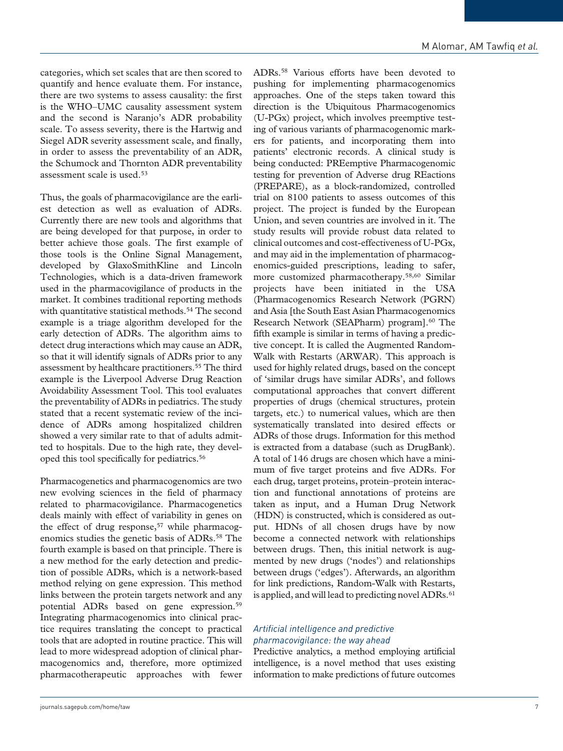categories, which set scales that are then scored to quantify and hence evaluate them. For instance, there are two systems to assess causality: the first is the WHO–UMC causality assessment system and the second is Naranjo's ADR probability scale. To assess severity, there is the Hartwig and Siegel ADR severity assessment scale, and finally, in order to assess the preventability of an ADR, the Schumock and Thornton ADR preventability assessment scale is used.<sup>53</sup>

Thus, the goals of pharmacovigilance are the earliest detection as well as evaluation of ADRs. Currently there are new tools and algorithms that are being developed for that purpose, in order to better achieve those goals. The first example of those tools is the Online Signal Management, developed by GlaxoSmithKline and Lincoln Technologies, which is a data-driven framework used in the pharmacovigilance of products in the market. It combines traditional reporting methods with quantitative statistical methods.<sup>54</sup> The second example is a triage algorithm developed for the early detection of ADRs. The algorithm aims to detect drug interactions which may cause an ADR, so that it will identify signals of ADRs prior to any assessment by healthcare practitioners.<sup>55</sup> The third example is the Liverpool Adverse Drug Reaction Avoidability Assessment Tool. This tool evaluates the preventability of ADRs in pediatrics. The study stated that a recent systematic review of the incidence of ADRs among hospitalized children showed a very similar rate to that of adults admitted to hospitals. Due to the high rate, they developed this tool specifically for pediatrics.<sup>56</sup>

Pharmacogenetics and pharmacogenomics are two new evolving sciences in the field of pharmacy related to pharmacovigilance. Pharmacogenetics deals mainly with effect of variability in genes on the effect of drug response,<sup>57</sup> while pharmacogenomics studies the genetic basis of ADRs.<sup>58</sup> The fourth example is based on that principle. There is a new method for the early detection and prediction of possible ADRs, which is a network-based method relying on gene expression. This method links between the protein targets network and any potential ADRs based on gene expression.<sup>59</sup> Integrating pharmacogenomics into clinical practice requires translating the concept to practical tools that are adopted in routine practice. This will lead to more widespread adoption of clinical pharmacogenomics and, therefore, more optimized pharmacotherapeutic approaches with fewer ADRs.<sup>58</sup> Various efforts have been devoted to pushing for implementing pharmacogenomics approaches. One of the steps taken toward this direction is the Ubiquitous Pharmacogenomics (U-PGx) project, which involves preemptive testing of various variants of pharmacogenomic markers for patients, and incorporating them into patients' electronic records. A clinical study is being conducted: PREemptive Pharmacogenomic testing for prevention of Adverse drug REactions (PREPARE), as a block-randomized, controlled trial on 8100 patients to assess outcomes of this project. The project is funded by the European Union, and seven countries are involved in it. The study results will provide robust data related to clinical outcomes and cost-effectiveness of U-PGx, and may aid in the implementation of pharmacogenomics-guided prescriptions, leading to safer, more customized pharmacotherapy.58,60 Similar projects have been initiated in the USA (Pharmacogenomics Research Network (PGRN) and Asia [the South East Asian Pharmacogenomics Research Network (SEAPharm) program].<sup>60</sup> The fifth example is similar in terms of having a predictive concept. It is called the Augmented Random-Walk with Restarts (ARWAR). This approach is used for highly related drugs, based on the concept of 'similar drugs have similar ADRs', and follows computational approaches that convert different properties of drugs (chemical structures, protein targets, etc.) to numerical values, which are then systematically translated into desired effects or ADRs of those drugs. Information for this method is extracted from a database (such as DrugBank). A total of 146 drugs are chosen which have a minimum of five target proteins and five ADRs. For each drug, target proteins, protein–protein interaction and functional annotations of proteins are taken as input, and a Human Drug Network (HDN) is constructed, which is considered as output. HDNs of all chosen drugs have by now become a connected network with relationships between drugs. Then, this initial network is augmented by new drugs ('nodes') and relationships between drugs ('edges'). Afterwards, an algorithm for link predictions, Random-Walk with Restarts, is applied, and will lead to predicting novel ADRs.<sup>61</sup>

### *Artificial intelligence and predictive pharmacovigilance: the way ahead*

Predictive analytics, a method employing artificial intelligence, is a novel method that uses existing information to make predictions of future outcomes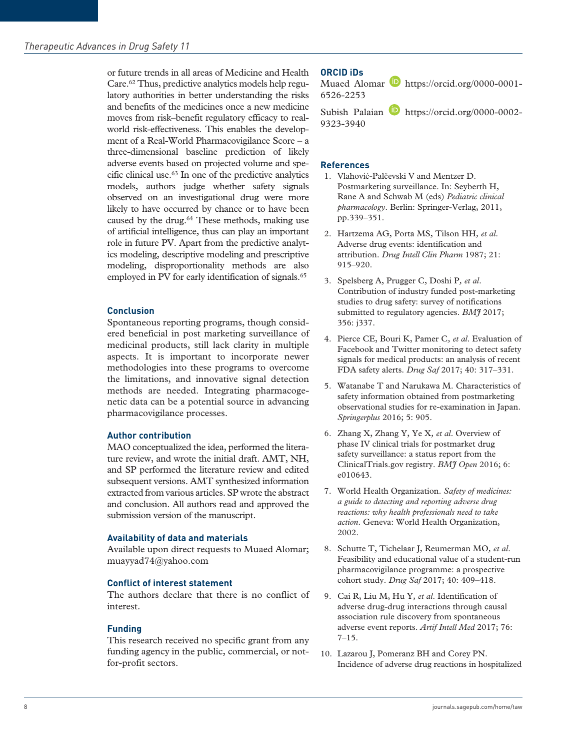or future trends in all areas of Medicine and Health Care.62 Thus, predictive analytics models help regulatory authorities in better understanding the risks and benefits of the medicines once a new medicine moves from risk–benefit regulatory efficacy to realworld risk-effectiveness. This enables the development of a Real-World Pharmacovigilance Score – a three-dimensional baseline prediction of likely adverse events based on projected volume and specific clinical use.<sup>63</sup> In one of the predictive analytics models, authors judge whether safety signals observed on an investigational drug were more likely to have occurred by chance or to have been caused by the drug.<sup>64</sup> These methods, making use of artificial intelligence, thus can play an important role in future PV. Apart from the predictive analytics modeling, descriptive modeling and prescriptive modeling, disproportionality methods are also employed in PV for early identification of signals.<sup>65</sup>

### **Conclusion**

Spontaneous reporting programs, though considered beneficial in post marketing surveillance of medicinal products, still lack clarity in multiple aspects. It is important to incorporate newer methodologies into these programs to overcome the limitations, and innovative signal detection methods are needed. Integrating pharmacogenetic data can be a potential source in advancing pharmacovigilance processes.

### **Author contribution**

MAO conceptualized the idea, performed the literature review, and wrote the initial draft. AMT, NH, and SP performed the literature review and edited subsequent versions. AMT synthesized information extracted from various articles. SP wrote the abstract and conclusion. All authors read and approved the submission version of the manuscript.

#### **Availability of data and materials**

Available upon direct requests to Muaed Alomar; muayyad74@yahoo.com

#### **Conflict of interest statement**

The authors declare that there is no conflict of interest.

### **Funding**

This research received no specific grant from any funding agency in the public, commercial, or notfor-profit sectors.

#### **ORCID iDs**

Muaed Alomar **https://orcid.org/0000-0001-**6526-2253

Subish Palaian **https://orcid.org/0000-0002-**9323-3940

#### **References**

- 1. Vlahović-Palčevski V and Mentzer D. Postmarketing surveillance. In: Seyberth H, Rane A and Schwab M (eds) *Pediatric clinical pharmacology*. Berlin: Springer-Verlag, 2011, pp.339–351.
- 2. Hartzema AG, Porta MS, Tilson HH*, et al*. Adverse drug events: identification and attribution. *Drug Intell Clin Pharm* 1987; 21: 915–920.
- 3. Spelsberg A, Prugger C, Doshi P*, et al*. Contribution of industry funded post-marketing studies to drug safety: survey of notifications submitted to regulatory agencies. *BMJ* 2017; 356: j337.
- 4. Pierce CE, Bouri K, Pamer C*, et al*. Evaluation of Facebook and Twitter monitoring to detect safety signals for medical products: an analysis of recent FDA safety alerts. *Drug Saf* 2017; 40: 317–331.
- 5. Watanabe T and Narukawa M. Characteristics of safety information obtained from postmarketing observational studies for re-examination in Japan. *Springerplus* 2016; 5: 905.
- 6. Zhang X, Zhang Y, Ye X*, et al*. Overview of phase IV clinical trials for postmarket drug safety surveillance: a status report from the ClinicalTrials.gov registry. *BMJ Open* 2016; 6: e010643.
- 7. World Health Organization. *Safety of medicines: a guide to detecting and reporting adverse drug reactions: why health professionals need to take action*. Geneva: World Health Organization, 2002.
- 8. Schutte T, Tichelaar J, Reumerman MO*, et al*. Feasibility and educational value of a student-run pharmacovigilance programme: a prospective cohort study. *Drug Saf* 2017; 40: 409–418.
- 9. Cai R, Liu M, Hu Y*, et al*. Identification of adverse drug-drug interactions through causal association rule discovery from spontaneous adverse event reports. *Artif Intell Med* 2017; 76: 7–15.
- 10. Lazarou J, Pomeranz BH and Corey PN. Incidence of adverse drug reactions in hospitalized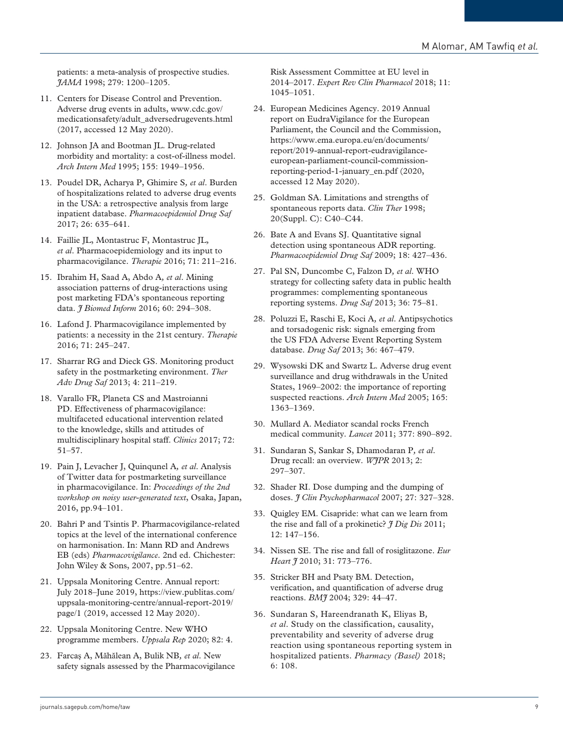patients: a meta-analysis of prospective studies. *JAMA* 1998; 279: 1200–1205.

- 11. Centers for Disease Control and Prevention. Adverse drug events in adults, www.cdc.gov/ medicationsafety/adult\_adversedrugevents.html (2017, accessed 12 May 2020).
- 12. Johnson JA and Bootman JL. Drug-related morbidity and mortality: a cost-of-illness model. *Arch Intern Med* 1995; 155: 1949–1956.
- 13. Poudel DR, Acharya P, Ghimire S*, et al*. Burden of hospitalizations related to adverse drug events in the USA: a retrospective analysis from large inpatient database. *Pharmacoepidemiol Drug Saf* 2017; 26: 635–641.
- 14. Faillie JL, Montastruc F, Montastruc JL*, et al*. Pharmacoepidemiology and its input to pharmacovigilance. *Therapie* 2016; 71: 211–216.
- 15. Ibrahim H, Saad A, Abdo A*, et al*. Mining association patterns of drug-interactions using post marketing FDA's spontaneous reporting data. *J Biomed Inform* 2016; 60: 294–308.
- 16. Lafond J. Pharmacovigilance implemented by patients: a necessity in the 21st century. *Therapie* 2016; 71: 245–247.
- 17. Sharrar RG and Dieck GS. Monitoring product safety in the postmarketing environment. *Ther Adv Drug Saf* 2013; 4: 211–219.
- 18. Varallo FR, Planeta CS and Mastroianni PD. Effectiveness of pharmacovigilance: multifaceted educational intervention related to the knowledge, skills and attitudes of multidisciplinary hospital staff. *Clinics* 2017; 72: 51–57.
- 19. Pain J, Levacher J, Quinqunel A*, et al*. Analysis of Twitter data for postmarketing surveillance in pharmacovigilance. In: *Proceedings of the 2nd workshop on noisy user-generated text*, Osaka, Japan, 2016, pp.94–101.
- 20. Bahri P and Tsintis P. Pharmacovigilance-related topics at the level of the international conference on harmonisation. In: Mann RD and Andrews EB (eds) *Pharmacovigilance*. 2nd ed. Chichester: John Wiley & Sons, 2007, pp.51–62.
- 21. Uppsala Monitoring Centre. Annual report: July 2018–June 2019, https://view.publitas.com/ uppsala-monitoring-centre/annual-report-2019/ page/1 (2019, accessed 12 May 2020).
- 22. Uppsala Monitoring Centre. New WHO programme members. *Uppsala Rep* 2020; 82: 4.
- 23. Farcaş A, Măhălean A, Bulik NB*, et al*. New safety signals assessed by the Pharmacovigilance

Risk Assessment Committee at EU level in 2014–2017. *Expert Rev Clin Pharmacol* 2018; 11: 1045–1051.

- 24. European Medicines Agency. 2019 Annual report on EudraVigilance for the European Parliament, the Council and the Commission, https://www.ema.europa.eu/en/documents/ report/2019-annual-report-eudravigilanceeuropean-parliament-council-commissionreporting-period-1-january\_en.pdf (2020, accessed 12 May 2020).
- 25. Goldman SA. Limitations and strengths of spontaneous reports data. *Clin Ther* 1998; 20(Suppl. C): C40–C44.
- 26. Bate A and Evans SJ. Quantitative signal detection using spontaneous ADR reporting. *Pharmacoepidemiol Drug Saf* 2009; 18: 427–436.
- 27. Pal SN, Duncombe C, Falzon D*, et al*. WHO strategy for collecting safety data in public health programmes: complementing spontaneous reporting systems. *Drug Saf* 2013; 36: 75–81.
- 28. Poluzzi E, Raschi E, Koci A*, et al*. Antipsychotics and torsadogenic risk: signals emerging from the US FDA Adverse Event Reporting System database. *Drug Saf* 2013; 36: 467–479.
- 29. Wysowski DK and Swartz L. Adverse drug event surveillance and drug withdrawals in the United States, 1969–2002: the importance of reporting suspected reactions. *Arch Intern Med* 2005; 165: 1363–1369.
- 30. Mullard A. Mediator scandal rocks French medical community. *Lancet* 2011; 377: 890–892.
- 31. Sundaran S, Sankar S, Dhamodaran P*, et al*. Drug recall: an overview. *WJPR* 2013; 2: 297–307.
- 32. Shader RI. Dose dumping and the dumping of doses. *J Clin Psychopharmacol* 2007; 27: 327–328.
- 33. Quigley EM. Cisapride: what can we learn from the rise and fall of a prokinetic? *J Dig Dis* 2011; 12: 147–156.
- 34. Nissen SE. The rise and fall of rosiglitazone. *Eur Heart J* 2010; 31: 773–776.
- 35. Stricker BH and Psaty BM. Detection, verification, and quantification of adverse drug reactions. *BMJ* 2004; 329: 44–47.
- 36. Sundaran S, Hareendranath K, Eliyas B*, et al*. Study on the classification, causality, preventability and severity of adverse drug reaction using spontaneous reporting system in hospitalized patients. *Pharmacy (Basel)* 2018; 6: 108.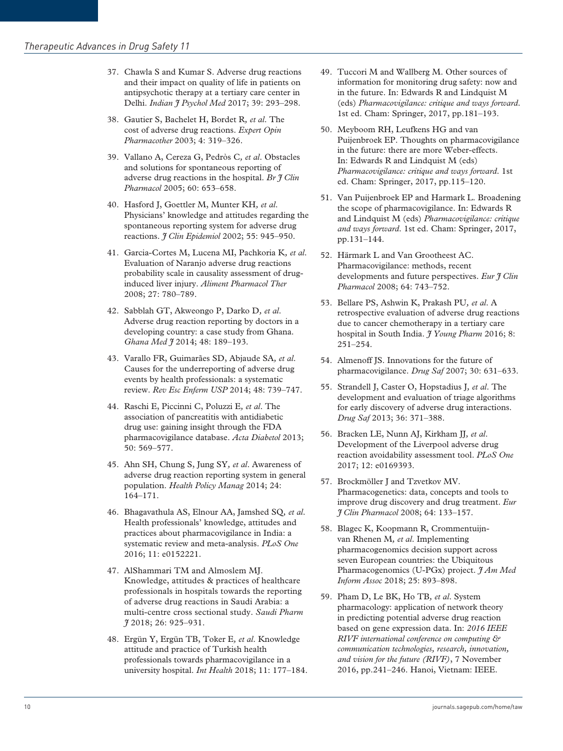- 37. Chawla S and Kumar S. Adverse drug reactions and their impact on quality of life in patients on antipsychotic therapy at a tertiary care center in Delhi. *Indian I* Psychol Med 2017; 39: 293-298.
- 38. Gautier S, Bachelet H, Bordet R*, et al*. The cost of adverse drug reactions. *Expert Opin Pharmacother* 2003; 4: 319–326.
- 39. Vallano A, Cereza G, Pedròs C*, et al*. Obstacles and solutions for spontaneous reporting of adverse drug reactions in the hospital. *Br J Clin Pharmacol* 2005; 60: 653–658.
- 40. Hasford J, Goettler M, Munter KH*, et al*. Physicians' knowledge and attitudes regarding the spontaneous reporting system for adverse drug reactions. *J Clin Epidemiol* 2002; 55: 945–950.
- 41. Garcia-Cortes M, Lucena MI, Pachkoria K*, et al*. Evaluation of Naranjo adverse drug reactions probability scale in causality assessment of druginduced liver injury. *Aliment Pharmacol Ther* 2008; 27: 780–789.
- 42. Sabblah GT, Akweongo P, Darko D*, et al*. Adverse drug reaction reporting by doctors in a developing country: a case study from Ghana. *Ghana Med J* 2014; 48: 189–193.
- 43. Varallo FR, Guimarães SD, Abjaude SA*, et al*. Causes for the underreporting of adverse drug events by health professionals: a systematic review. *Rev Esc Enferm USP* 2014; 48: 739–747.
- 44. Raschi E, Piccinni C, Poluzzi E*, et al*. The association of pancreatitis with antidiabetic drug use: gaining insight through the FDA pharmacovigilance database. *Acta Diabetol* 2013; 50: 569–577.
- 45. Ahn SH, Chung S, Jung SY*, et al*. Awareness of adverse drug reaction reporting system in general population. *Health Policy Manag* 2014; 24: 164–171.
- 46. Bhagavathula AS, Elnour AA, Jamshed SQ*, et al*. Health professionals' knowledge, attitudes and practices about pharmacovigilance in India: a systematic review and meta-analysis. *PLoS One* 2016; 11: e0152221.
- 47. AlShammari TM and Almoslem MJ. Knowledge, attitudes & practices of healthcare professionals in hospitals towards the reporting of adverse drug reactions in Saudi Arabia: a multi-centre cross sectional study. *Saudi Pharm J* 2018; 26: 925–931.
- 48. Ergün Y, Ergün TB, Toker E*, et al*. Knowledge attitude and practice of Turkish health professionals towards pharmacovigilance in a university hospital. *Int Health* 2018; 11: 177–184.
- 49. Tuccori M and Wallberg M. Other sources of information for monitoring drug safety: now and in the future. In: Edwards R and Lindquist M (eds) *Pharmacovigilance: critique and ways forward*. 1st ed. Cham: Springer, 2017, pp.181–193.
- 50. Meyboom RH, Leufkens HG and van Puijenbroek EP. Thoughts on pharmacovigilance in the future: there are more Weber-effects. In: Edwards R and Lindquist M (eds) *Pharmacovigilance: critique and ways forward*. 1st ed. Cham: Springer, 2017, pp.115–120.
- 51. Van Puijenbroek EP and Harmark L. Broadening the scope of pharmacovigilance. In: Edwards R and Lindquist M (eds) *Pharmacovigilance: critique and ways forward*. 1st ed. Cham: Springer, 2017, pp.131–144.
- 52. Härmark L and Van Grootheest AC. Pharmacovigilance: methods, recent developments and future perspectives. *Eur J Clin Pharmacol* 2008; 64: 743–752.
- 53. Bellare PS, Ashwin K, Prakash PU*, et al*. A retrospective evaluation of adverse drug reactions due to cancer chemotherapy in a tertiary care hospital in South India. *J Young Pharm* 2016; 8: 251–254.
- 54. Almenoff JS. Innovations for the future of pharmacovigilance. *Drug Saf* 2007; 30: 631–633.
- 55. Strandell J, Caster O, Hopstadius J*, et al*. The development and evaluation of triage algorithms for early discovery of adverse drug interactions. *Drug Saf* 2013; 36: 371–388.
- 56. Bracken LE, Nunn AJ, Kirkham JJ*, et al*. Development of the Liverpool adverse drug reaction avoidability assessment tool. *PLoS One* 2017; 12: e0169393.
- 57. Brockmöller J and Tzvetkov MV. Pharmacogenetics: data, concepts and tools to improve drug discovery and drug treatment. *Eur J Clin Pharmacol* 2008; 64: 133–157.
- 58. Blagec K, Koopmann R, Crommentuijnvan Rhenen M*, et al*. Implementing pharmacogenomics decision support across seven European countries: the Ubiquitous Pharmacogenomics (U-PGx) project. *J Am Med Inform Assoc* 2018; 25: 893–898.
- 59. Pham D, Le BK, Ho TB*, et al*. System pharmacology: application of network theory in predicting potential adverse drug reaction based on gene expression data. In: *2016 IEEE RIVF international conference on computing & communication technologies, research, innovation, and vision for the future (RIVF)*, 7 November 2016, pp.241–246. Hanoi, Vietnam: IEEE.